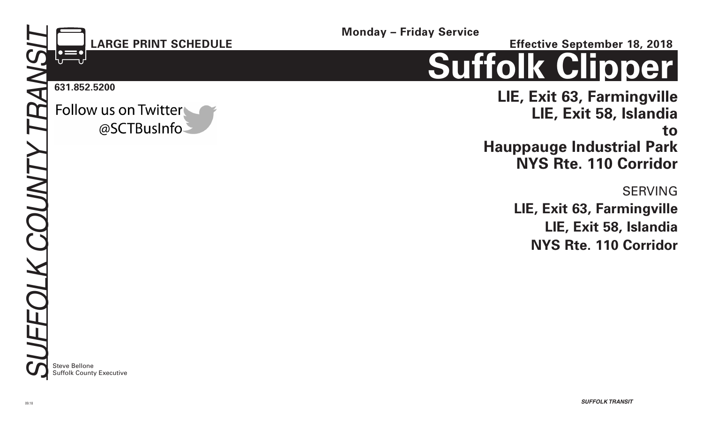### **LARGE PRINT SCHEDULE**

@SCTBusInfo

**Monday – Friday Service**

**Effective September 18, 2018**

# **Suffolk Clipper**

**LIE, Exit 63, Farmingville LIE, Exit 58, Islandia to Hauppauge Industrial Park NYS Rte. 110 Corridor** 

> SERVING **LIE, Exit 63, Farmingville LIE, Exit 58, Islandia NYS Rte. 110 Corridor**

**Steve Bellone** Suffolk County Executive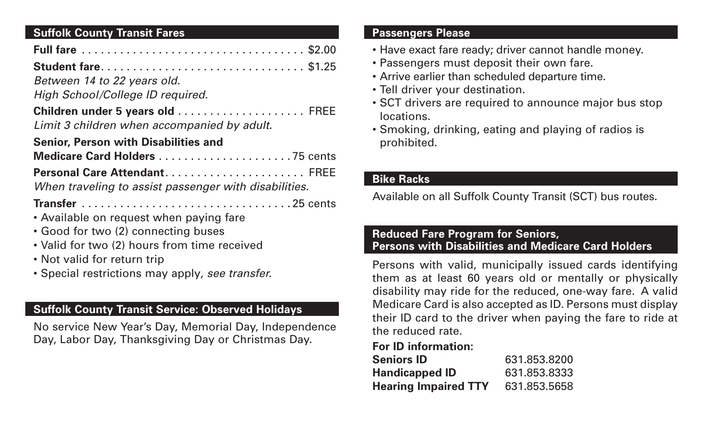#### **Suffolk County Transit Fares**

| <b>Student fare \$1.25</b>                            |
|-------------------------------------------------------|
| Between 14 to 22 years old.                           |
| High School/College ID required.                      |
| Limit 3 children when accompanied by adult.           |
| <b>Senior, Person with Disabilities and</b>           |
|                                                       |
| Personal Care Attendant FREE                          |
| When traveling to assist passenger with disabilities. |
|                                                       |
| • Available on request when paying fare               |
| • Good for two (2) connecting buses                   |
| • Valid for two (2) hours from time received          |
| • Not valid for return trip                           |
| • Special restrictions may apply, see transfer.       |

#### **Suffolk County Transit Service: Observed Holidays**

No service New Year's Day, Memorial Day, Independence Day, Labor Day, Thanksgiving Day or Christmas Day.

#### **Passengers Please**

- Have exact fare ready; driver cannot handle money.
- Passengers must deposit their own fare.
- Arrive earlier than scheduled departure time.
- Tell driver your destination.
- SCT drivers are required to announce major bus stop locations.
- Smoking, drinking, eating and playing of radios is prohibited.

#### **Bike Racks**

Available on all Suffolk County Transit (SCT) bus routes.

#### **Reduced Fare Program for Seniors, Persons with Disabilities and Medicare Card Holders**

Persons with valid, municipally issued cards identifying them as at least 60 years old or mentally or physically disability may ride for the reduced, one-way fare. A valid Medicare Card is also accepted as ID. Persons must display their ID card to the driver when paying the fare to ride at the reduced rate.

#### **For ID information:**

| <b>Seniors ID</b>           | 631.853.8200 |
|-----------------------------|--------------|
| <b>Handicapped ID</b>       | 631.853.8333 |
| <b>Hearing Impaired TTY</b> | 631.853.5658 |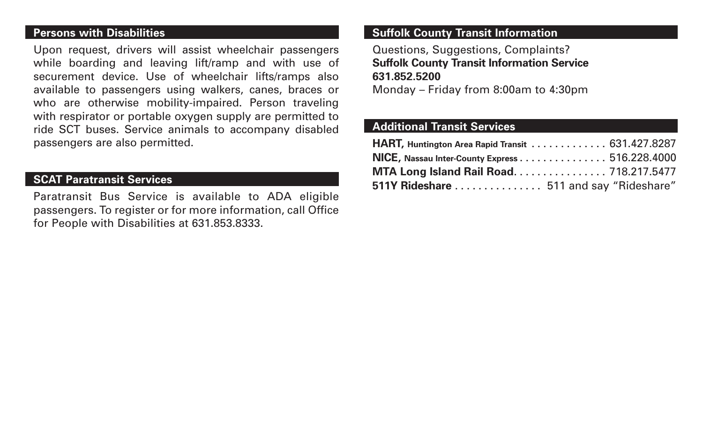#### **Persons with Disabilities**

Upon request, drivers will assist wheelchair passengers while boarding and leaving lift/ramp and with use of securement device. Use of wheelchair lifts/ramps also available to passengers using walkers, canes, braces or who are otherwise mobility-impaired. Person traveling with respirator or portable oxygen supply are permitted to ride SCT buses. Service animals to accompany disabled passengers are also permitted.

#### **SCAT Paratransit Services**

Paratransit Bus Service is available to ADA eligible passengers. To register or for more information, call Office for People with Disabilities at 631.853.8333.

#### **Suffolk County Transit Information**

Questions, Suggestions, Complaints? **Suffolk County Transit Information Service 631.852.5200**

Monday – Friday from 8:00am to 4:30pm

#### **Additional Transit Services**

| HART, Huntington Area Rapid Transit 631.427.8287 |  |
|--------------------------------------------------|--|
| NICE, Nassau Inter-County Express 516.228.4000   |  |
| <b>MTA Long Island Rail Road 718.217.5477</b>    |  |
| 511Y Rideshare  511 and say "Rideshare"          |  |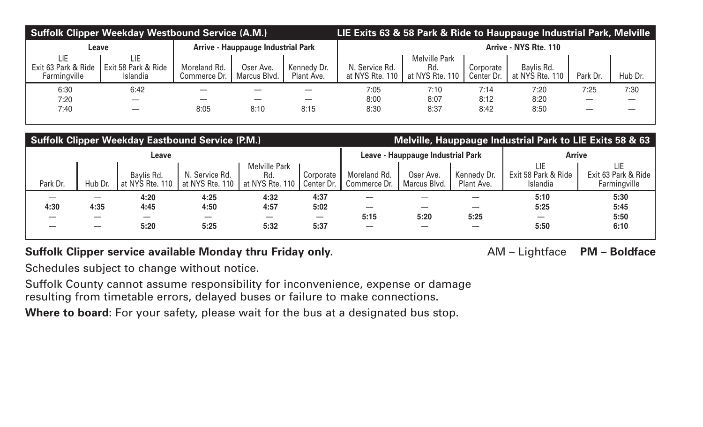| <b>Suffolk Clipper Weekday Westbound Service (A.M.)</b> |                                           |                              |                           |                           | LIE Exits 63 & 58 Park & Ride to Hauppauge Industrial Park, Melville |                                                |                         |                               |          |         |
|---------------------------------------------------------|-------------------------------------------|------------------------------|---------------------------|---------------------------|----------------------------------------------------------------------|------------------------------------------------|-------------------------|-------------------------------|----------|---------|
| Leave                                                   | <b>Arrive - Hauppauge Industrial Park</b> |                              |                           | Arrive - NYS Rte. 110     |                                                                      |                                                |                         |                               |          |         |
| LIE<br>Exit 63 Park & Ride<br>Farmingville              | LIE.<br>Exit 58 Park & Ride<br>Islandia   | Moreland Rd.<br>Commerce Dr. | Oser Ave.<br>Marcus Blvd. | Kennedy Dr.<br>Plant Ave. | N. Service Rd.<br>at NYS Rte. 110                                    | <b>Melville Park</b><br>Rd.<br>at NYS Rte. 110 | Corporate<br>Center Dr. | Baylis Rd.<br>at NYS Rte. 110 | Park Dr. | Hub Dr. |
| 6:30                                                    | 6:42                                      |                              |                           |                           | 7:05                                                                 | 7:10                                           | 7:14                    | 7:20                          | 7:25     | 7:30    |
| 7:20                                                    |                                           |                              |                           |                           | 8:00                                                                 | 8:07                                           | 8:12                    | 8:20                          |          |         |
| 7:40                                                    |                                           | 8:05                         | 8:10                      | 8:15                      | 8:30                                                                 | 8:37                                           | 8:42                    | 8:50                          |          |         |

| <b>Suffolk Clipper Weekday Eastbound Service (P.M.)</b> |         |                               |                                   |                                                |                         | Melville, Hauppauge Industrial Park to LIE Exits 58 & 63 |                           |                           |                                        |                                            |
|---------------------------------------------------------|---------|-------------------------------|-----------------------------------|------------------------------------------------|-------------------------|----------------------------------------------------------|---------------------------|---------------------------|----------------------------------------|--------------------------------------------|
| Leave                                                   |         |                               |                                   | Leave - Hauppauge Industrial Park              |                         |                                                          | <b>Arrive</b>             |                           |                                        |                                            |
| Park Dr.                                                | Hub Dr. | Baylis Rd.<br>at NYS Rte. 110 | N. Service Rd.<br>at NYS Rte. 110 | <b>Melville Park</b><br>Rd.<br>at NYS Rte, 110 | Corporate<br>Center Dr. | Moreland Rd.<br>Commerce Dr.                             | Oser Ave.<br>Marcus Blvd. | Kennedy Dr.<br>Plant Ave. | LIE<br>Exit 58 Park & Ride<br>Islandia | LIE<br>Exit 63 Park & Ride<br>Farmingville |
| 4:30                                                    | 4:35    | 4:20<br>4:45<br>5:20          | 4:25<br>4:50<br>5:25              | 4:32<br>4:57<br>5:32                           | 4:37<br>5:02<br>5:37    | 5:15                                                     | 5:20                      | 5:25                      | 5:10<br>5:25<br>5:50                   | 5:30<br>5:45<br>5:50<br>6:10               |

#### Suffolk Clipper service available Monday thru Friday only. **AM – Lightface** PM – Boldface

Schedules subject to change without notice.

Suffolk County cannot assume responsibility for inconvenience, expense or damage resulting from timetable errors, delayed buses or failure to make connections.

Where to board: For your safety, please wait for the bus at a designated bus stop.